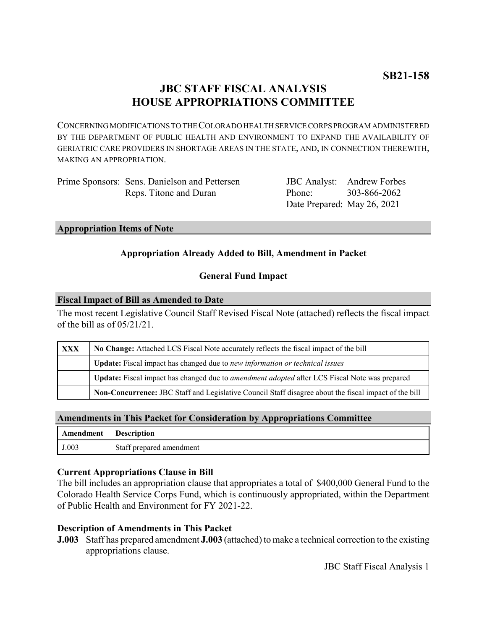# **JBC STAFF FISCAL ANALYSIS HOUSE APPROPRIATIONS COMMITTEE**

CONCERNING MODIFICATIONS TO THE COLORADO HEALTH SERVICE CORPS PROGRAM ADMINISTERED BY THE DEPARTMENT OF PUBLIC HEALTH AND ENVIRONMENT TO EXPAND THE AVAILABILITY OF GERIATRIC CARE PROVIDERS IN SHORTAGE AREAS IN THE STATE, AND, IN CONNECTION THEREWITH, MAKING AN APPROPRIATION.

| Prime Sponsors: Sens. Danielson and Pettersen |
|-----------------------------------------------|
| Reps. Titone and Duran                        |

JBC Analyst: Andrew Forbes Phone: Date Prepared: May 26, 2021 303-866-2062

#### **Appropriation Items of Note**

# **Appropriation Already Added to Bill, Amendment in Packet**

# **General Fund Impact**

#### **Fiscal Impact of Bill as Amended to Date**

The most recent Legislative Council Staff Revised Fiscal Note (attached) reflects the fiscal impact of the bill as of 05/21/21.

| <b>XXX</b> | No Change: Attached LCS Fiscal Note accurately reflects the fiscal impact of the bill                       |  |
|------------|-------------------------------------------------------------------------------------------------------------|--|
|            | <b>Update:</b> Fiscal impact has changed due to new information or technical issues                         |  |
|            | <b>Update:</b> Fiscal impact has changed due to <i>amendment adopted</i> after LCS Fiscal Note was prepared |  |
|            | Non-Concurrence: JBC Staff and Legislative Council Staff disagree about the fiscal impact of the bill       |  |

## **Amendments in This Packet for Consideration by Appropriations Committee**

| Amendment | <b>Description</b>       |
|-----------|--------------------------|
| J.003     | Staff prepared amendment |

#### **Current Appropriations Clause in Bill**

The bill includes an appropriation clause that appropriates a total of \$400,000 General Fund to the Colorado Health Service Corps Fund, which is continuously appropriated, within the Department of Public Health and Environment for FY 2021-22.

## **Description of Amendments in This Packet**

**J.003** Staff has prepared amendment **J.003** (attached) to make a technical correction to the existing appropriations clause.